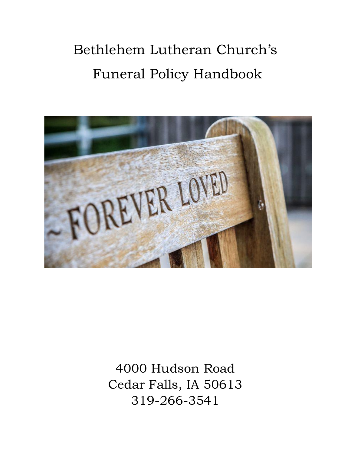# Bethlehem Lutheran Church's Funeral Policy Handbook



4000 Hudson Road Cedar Falls, IA 50613 319-266-3541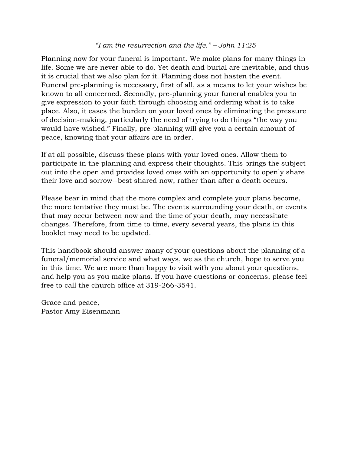#### *"I am the resurrection and the life." – John 11:25*

Planning now for your funeral is important. We make plans for many things in life. Some we are never able to do. Yet death and burial are inevitable, and thus it is crucial that we also plan for it. Planning does not hasten the event. Funeral pre-planning is necessary, first of all, as a means to let your wishes be known to all concerned. Secondly, pre-planning your funeral enables you to give expression to your faith through choosing and ordering what is to take place. Also, it eases the burden on your loved ones by eliminating the pressure of decision-making, particularly the need of trying to do things "the way you would have wished." Finally, pre-planning will give you a certain amount of peace, knowing that your affairs are in order.

If at all possible, discuss these plans with your loved ones. Allow them to participate in the planning and express their thoughts. This brings the subject out into the open and provides loved ones with an opportunity to openly share their love and sorrow--best shared now, rather than after a death occurs.

Please bear in mind that the more complex and complete your plans become, the more tentative they must be. The events surrounding your death, or events that may occur between now and the time of your death, may necessitate changes. Therefore, from time to time, every several years, the plans in this booklet may need to be updated.

This handbook should answer many of your questions about the planning of a funeral/memorial service and what ways, we as the church, hope to serve you in this time. We are more than happy to visit with you about your questions, and help you as you make plans. If you have questions or concerns, please feel free to call the church office at 319-266-3541.

Grace and peace, Pastor Amy Eisenmann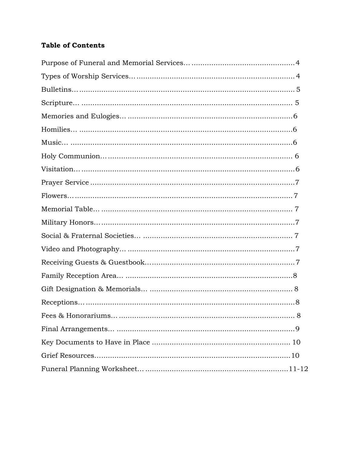## **Table of Contents**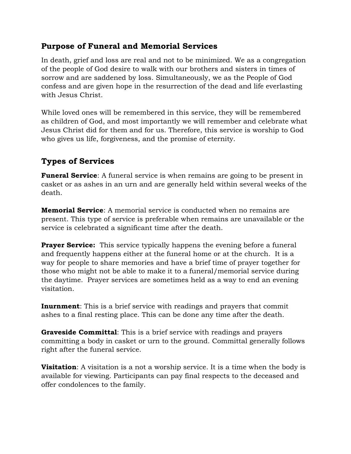## <span id="page-3-0"></span>**Purpose of Funeral and Memorial Services**

In death, grief and loss are real and not to be minimized. We as a congregation of the people of God desire to walk with our brothers and sisters in times of sorrow and are saddened by loss. Simultaneously, we as the People of God confess and are given hope in the resurrection of the dead and life everlasting with Jesus Christ.

While loved ones will be remembered in this service, they will be remembered as children of God, and most importantly we will remember and celebrate what Jesus Christ did for them and for us. Therefore, this service is worship to God who gives us life, forgiveness, and the promise of eternity.

## **Types of Services**

**Funeral Service**: A funeral service is when remains are going to be present in casket or as ashes in an urn and are generally held within several weeks of the death.

**Memorial Service**: A memorial service is conducted when no remains are present. This type of service is preferable when remains are unavailable or the service is celebrated a significant time after the death.

**Prayer Service:** This service typically happens the evening before a funeral and frequently happens either at the funeral home or at the church. It is a way for people to share memories and have a brief time of prayer together for those who might not be able to make it to a funeral/memorial service during the daytime. Prayer services are sometimes held as a way to end an evening visitation.

**Inurnment**: This is a brief service with readings and prayers that commit ashes to a final resting place. This can be done any time after the death.

**Graveside Committal**: This is a brief service with readings and prayers committing a body in casket or urn to the ground. Committal generally follows right after the funeral service.

**Visitation**: A visitation is a not a worship service. It is a time when the body is available for viewing. Participants can pay final respects to the deceased and offer condolences to the family.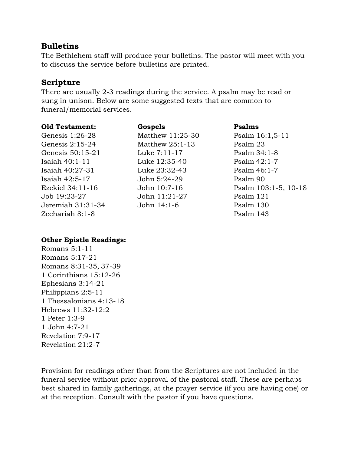## <span id="page-4-0"></span>**Bulletins**

The Bethlehem staff will produce your bulletins. The pastor will meet with you to discuss the service before bulletins are printed.

## <span id="page-4-1"></span>**Scripture**

There are usually 2-3 readings during the service. A psalm may be read or sung in unison. Below are some suggested texts that are common to funeral/memorial services.

#### **Old Testament:**

Genesis 1:26-28 Genesis 2:15-24 Genesis 50:15-21 Isaiah 40:1-11 Isaiah 40:27-31 Isaiah 42:5-17 Ezekiel 34:11-16 Job 19:23-27 Jeremiah 31:31-34 Zechariah 8:1-8

## **Gospels** Matthew 11:25-30 Matthew 25:1-13 Luke 7:11-17 Luke 12:35-40 Luke 23:32-43 John 5:24-29 John 10:7-16 John 11:21-27 John 14:1-6

**Psalms**

Psalm 16:1,5-11 Psalm 23 Psalm 34:1-8 Psalm 42:1-7 Psalm 46:1-7 Psalm 90 Psalm 103:1-5, 10-18 Psalm 121 Psalm 130 Psalm 143

#### **Other Epistle Readings:**

Romans 5:1-11 Romans 5:17-21 Romans 8:31-35, 37-39 1 Corinthians 15:12-26 Ephesians 3:14-21 Philippians 2:5-11 1 Thessalonians 4:13-18 Hebrews 11:32-12:2 1 Peter 1:3-9 1 John 4:7-21 Revelation 7:9-17 Revelation 21:2-7

Provision for readings other than from the Scriptures are not included in the funeral service without prior approval of the pastoral staff. These are perhaps best shared in family gatherings, at the prayer service (if you are having one) or at the reception. Consult with the pastor if you have questions.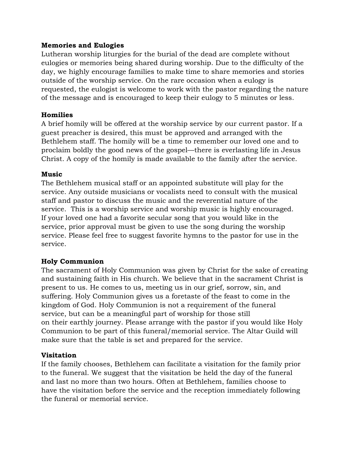#### **Memories and Eulogies**

Lutheran worship liturgies for the burial of the dead are complete without eulogies or memories being shared during worship. Due to the difficulty of the day, we highly encourage families to make time to share memories and stories outside of the worship service. On the rare occasion when a eulogy is requested, the eulogist is welcome to work with the pastor regarding the nature of the message and is encouraged to keep their eulogy to 5 minutes or less.

#### **Homilies**

A brief homily will be offered at the worship service by our current pastor. If a guest preacher is desired, this must be approved and arranged with the Bethlehem staff. The homily will be a time to remember our loved one and to proclaim boldly the good news of the gospel—there is everlasting life in Jesus Christ. A copy of the homily is made available to the family after the service.

#### **Music**

The Bethlehem musical staff or an appointed substitute will play for the service. Any outside musicians or vocalists need to consult with the musical staff and pastor to discuss the music and the reverential nature of the service. This is a worship service and worship music is highly encouraged. If your loved one had a favorite secular song that you would like in the service, prior approval must be given to use the song during the worship service. Please feel free to suggest favorite hymns to the pastor for use in the service.

#### **Holy Communion**

The sacrament of Holy Communion was given by Christ for the sake of creating and sustaining faith in His church. We believe that in the sacrament Christ is present to us. He comes to us, meeting us in our grief, sorrow, sin, and suffering. Holy Communion gives us a foretaste of the feast to come in the kingdom of God. Holy Communion is not a requirement of the funeral service, but can be a meaningful part of worship for those still on their earthly journey. Please arrange with the pastor if you would like Holy Communion to be part of this funeral/memorial service. The Altar Guild will make sure that the table is set and prepared for the service.

#### **Visitation**

If the family chooses, Bethlehem can facilitate a visitation for the family prior to the funeral. We suggest that the visitation be held the day of the funeral and last no more than two hours. Often at Bethlehem, families choose to have the visitation before the service and the reception immediately following the funeral or memorial service.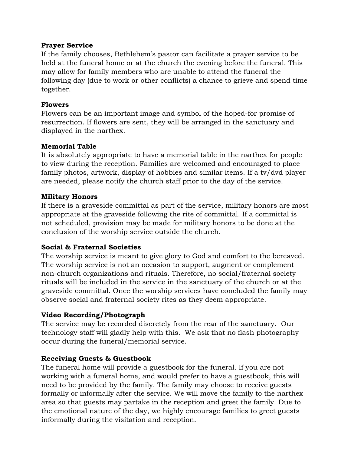#### **Prayer Service**

If the family chooses, Bethlehem's pastor can facilitate a prayer service to be held at the funeral home or at the church the evening before the funeral. This may allow for family members who are unable to attend the funeral the following day (due to work or other conflicts) a chance to grieve and spend time together.

#### **Flowers**

Flowers can be an important image and symbol of the hoped-for promise of resurrection. If flowers are sent, they will be arranged in the sanctuary and displayed in the narthex.

#### **Memorial Table**

It is absolutely appropriate to have a memorial table in the narthex for people to view during the reception. Families are welcomed and encouraged to place family photos, artwork, display of hobbies and similar items. If a tv/dvd player are needed, please notify the church staff prior to the day of the service.

#### **Military Honors**

If there is a graveside committal as part of the service, military honors are most appropriate at the graveside following the rite of committal. If a committal is not scheduled, provision may be made for military honors to be done at the conclusion of the worship service outside the church.

#### **Social & Fraternal Societies**

The worship service is meant to give glory to God and comfort to the bereaved. The worship service is not an occasion to support, augment or complement non-church organizations and rituals. Therefore, no social/fraternal society rituals will be included in the service in the sanctuary of the church or at the graveside committal. Once the worship services have concluded the family may observe social and fraternal society rites as they deem appropriate.

#### **Video Recording/Photograph**

The service may be recorded discretely from the rear of the sanctuary. Our technology staff will gladly help with this. We ask that no flash photography occur during the funeral/memorial service.

#### **Receiving Guests & Guestbook**

The funeral home will provide a guestbook for the funeral. If you are not working with a funeral home, and would prefer to have a guestbook, this will need to be provided by the family. The family may choose to receive guests formally or informally after the service. We will move the family to the narthex area so that guests may partake in the reception and greet the family. Due to the emotional nature of the day, we highly encourage families to greet guests informally during the visitation and reception.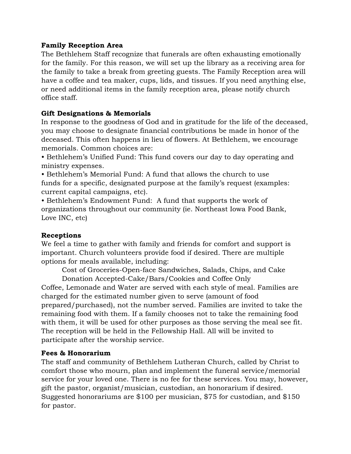#### **Family Reception Area**

The Bethlehem Staff recognize that funerals are often exhausting emotionally for the family. For this reason, we will set up the library as a receiving area for the family to take a break from greeting guests. The Family Reception area will have a coffee and tea maker, cups, lids, and tissues. If you need anything else, or need additional items in the family reception area, please notify church office staff.

#### **Gift Designations & Memorials**

In response to the goodness of God and in gratitude for the life of the deceased, you may choose to designate financial contributions be made in honor of the deceased. This often happens in lieu of flowers. At Bethlehem, we encourage memorials. Common choices are:

• Bethlehem's Unified Fund: This fund covers our day to day operating and ministry expenses.

• Bethlehem's Memorial Fund: A fund that allows the church to use funds for a specific, designated purpose at the family's request (examples: current capital campaigns, etc).

• Bethlehem's Endowment Fund: A fund that supports the work of organizations throughout our community (ie. Northeast Iowa Food Bank, Love INC, etc)

#### **Receptions**

We feel a time to gather with family and friends for comfort and support is important. Church volunteers provide food if desired. There are multiple options for meals available, including:

Cost of Groceries-Open-face Sandwiches, Salads, Chips, and Cake

Donation Accepted-Cake/Bars/Cookies and Coffee Only Coffee, Lemonade and Water are served with each style of meal. Families are charged for the estimated number given to serve (amount of food prepared/purchased), not the number served. Families are invited to take the remaining food with them. If a family chooses not to take the remaining food with them, it will be used for other purposes as those serving the meal see fit. The reception will be held in the Fellowship Hall. All will be invited to participate after the worship service.

#### **Fees & Honorarium**

The staff and community of Bethlehem Lutheran Church, called by Christ to comfort those who mourn, plan and implement the funeral service/memorial service for your loved one. There is no fee for these services. You may, however, gift the pastor, organist/musician, custodian, an honorarium if desired. Suggested honorariums are \$100 per musician, \$75 for custodian, and \$150 for pastor.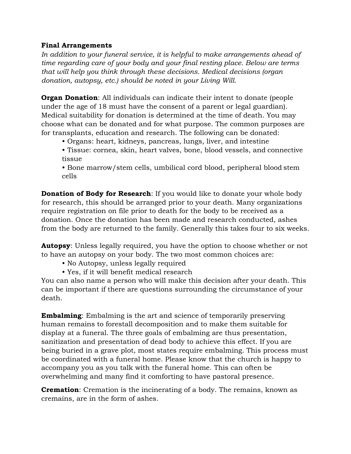#### **Final Arrangements**

*In addition to your funeral service, it is helpful to make arrangements ahead of time regarding care of your body and your final resting place. Below are terms that will help you think through these decisions. Medical decisions (organ donation, autopsy, etc.) should be noted in your Living Will.*

**Organ Donation**: All individuals can indicate their intent to donate (people under the age of 18 must have the consent of a parent or legal guardian). Medical suitability for donation is determined at the time of death. You may choose what can be donated and for what purpose. The common purposes are for transplants, education and research. The following can be donated:

- Organs: heart, kidneys, pancreas, lungs, liver, and intestine
- Tissue: cornea, skin, heart valves, bone, blood vessels, and connective tissue

• Bone marrow/stem cells, umbilical cord blood, peripheral blood stem cells

**Donation of Body for Research**: If you would like to donate your whole body for research, this should be arranged prior to your death. Many organizations require registration on file prior to death for the body to be received as a donation. Once the donation has been made and research conducted, ashes from the body are returned to the family. Generally this takes four to six weeks.

**Autopsy**: Unless legally required, you have the option to choose whether or not to have an autopsy on your body. The two most common choices are:

- No Autopsy, unless legally required
- Yes, if it will benefit medical research

You can also name a person who will make this decision after your death. This can be important if there are questions surrounding the circumstance of your death.

**Embalming**: Embalming is the art and science of temporarily preserving human remains to forestall decomposition and to make them suitable for display at a funeral. The three goals of embalming are thus presentation, sanitization and presentation of dead body to achieve this effect. If you are being buried in a grave plot, most states require embalming. This process must be coordinated with a funeral home. Please know that the church is happy to accompany you as you talk with the funeral home. This can often be overwhelming and many find it comforting to have pastoral presence.

**Cremation**: Cremation is the incinerating of a body. The remains, known as cremains, are in the form of ashes.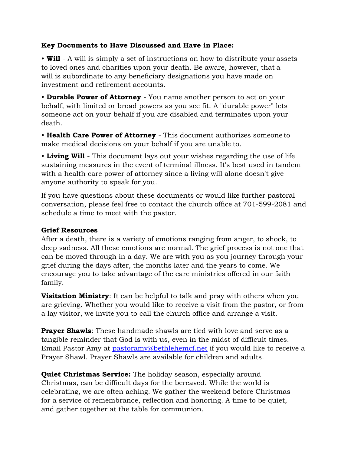#### **Key Documents to Have Discussed and Have in Place:**

• **Will** - A will is simply a set of instructions on how to distribute your assets to loved ones and charities upon your death. Be aware, however, that a will is subordinate to any beneficiary designations you have made on investment and retirement accounts.

• **Durable Power of Attorney** - You name another person to act on your behalf, with limited or broad powers as you see fit. A "durable power" lets someone act on your behalf if you are disabled and terminates upon your death.

• **Health Care Power of Attorney** - This document authorizes someone to make medical decisions on your behalf if you are unable to.

• **Living Will** - This document lays out your wishes regarding the use of life sustaining measures in the event of terminal illness. It's best used in tandem with a health care power of attorney since a living will alone doesn't give anyone authority to speak for you.

If you have questions about these documents or would like further pastoral conversation, please feel free to contact the church office at 701-599-2081 and schedule a time to meet with the pastor.

#### **Grief Resources**

After a death, there is a variety of emotions ranging from anger, to shock, to deep sadness. All these emotions are normal. The grief process is not one that can be moved through in a day. We are with you as you journey through your grief during the days after, the months later and the years to come. We encourage you to take advantage of the care ministries offered in our faith family.

**Visitation Ministry**: It can be helpful to talk and pray with others when you are grieving. Whether you would like to receive a visit from the pastor, or from a lay visitor, we invite you to call the church office and arrange a visit.

**Prayer Shawls**: These handmade shawls are tied with love and serve as a tangible reminder that God is with us, even in the midst of difficult times. Email Pastor Amy at [pastoramy@bethlehemcf.net](mailto:pastoramy@bethlehemcf.net) if you would like to receive a Prayer Shawl. Prayer Shawls are available for children and adults.

**Quiet Christmas Service:** The holiday season, especially around Christmas, can be difficult days for the bereaved. While the world is celebrating, we are often aching. We gather the weekend before Christmas for a service of remembrance, reflection and honoring. A time to be quiet, and gather together at the table for communion.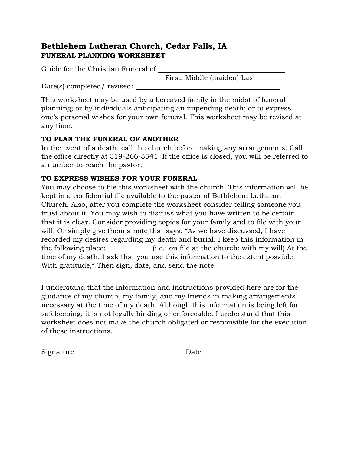## **Bethlehem Lutheran Church, Cedar Falls, IA FUNERAL PLANNING WORKSHEET**

Guide for the Christian Funeral of

First, Middle (maiden) Last

Date(s) completed/ revised:

This worksheet may be used by a bereaved family in the midst of funeral planning; or by individuals anticipating an impending death; or to express one's personal wishes for your own funeral. This worksheet may be revised at any time.

## **TO PLAN THE FUNERAL OF ANOTHER**

In the event of a death, call the church before making any arrangements. Call the office directly at 319-266-3541. If the office is closed, you will be referred to a number to reach the pastor.

## **TO EXPRESS WISHES FOR YOUR FUNERAL**

You may choose to file this worksheet with the church. This information will be kept in a confidential file available to the pastor of Bethlehem Lutheran Church. Also, after you complete the worksheet consider telling someone you trust about it. You may wish to discuss what you have written to be certain that it is clear. Consider providing copies for your family and to file with your will. Or simply give them a note that says, "As we have discussed, I have recorded my desires regarding my death and burial. I keep this information in the following place: (i.e.: on file at the church; with my will) At the time of my death, I ask that you use this information to the extent possible. With gratitude," Then sign, date, and send the note.

I understand that the information and instructions provided here are for the guidance of my church, my family, and my friends in making arrangements necessary at the time of my death. Although this information is being left for safekeeping, it is not legally binding or enforceable. I understand that this worksheet does not make the church obligated or responsible for the execution of these instructions.

Signature Date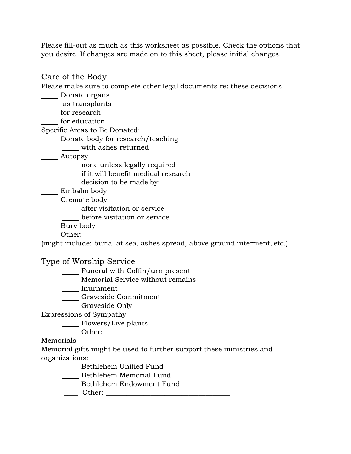Please fill-out as much as this worksheet as possible. Check the options that you desire. If changes are made on to this sheet, please initial changes.

## Care of the Body Please make sure to complete other legal documents re: these decisions Donate organs \_\_\_\_ as transplants for research \_\_\_\_ for education Specific Areas to Be Donated: Donate body for research/teaching with ashes returned Autopsy \_\_\_\_ none unless legally required

if it will benefit medical research

decision to be made by:

Embalm body

\_\_\_\_\_ Cremate body

**Allen is a**fter visitation or service

before visitation or service

\_\_\_\_\_ Bury body

Other:

(might include: burial at sea, ashes spread, above ground interment, etc.)

## Type of Worship Service

**Funeral with Coffin/urn present** 

**Memorial Service without remains** 

Inurnment

Graveside Commitment

Graveside Only

Expressions of Sympathy

Flowers/Live plants

Other:

#### Memorials

Memorial gifts might be used to further support these ministries and organizations:

\_\_\_\_\_ Bethlehem Unified Fund

- **Bethlehem Memorial Fund**
- Bethlehem Endowment Fund
- \_\_\_\_ Other: \_\_\_\_\_\_\_\_\_\_\_\_\_\_\_\_\_\_\_\_\_\_\_\_\_\_\_\_\_\_\_\_\_\_\_\_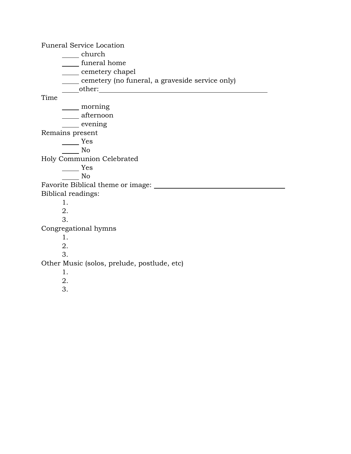Funeral Service Location church funeral home \_\_\_\_ cemetery chapel cemetery (no funeral, a graveside service only) other: Time morning <u>Lafternoon</u> <u>evening</u> Remains present Yes No Holy Communion Celebrated Yes No Favorite Biblical theme or image: Biblical readings: 1. 2. 3. Congregational hymns 1. 2. 3. Other Music (solos, prelude, postlude, etc) 1. 2. 3.